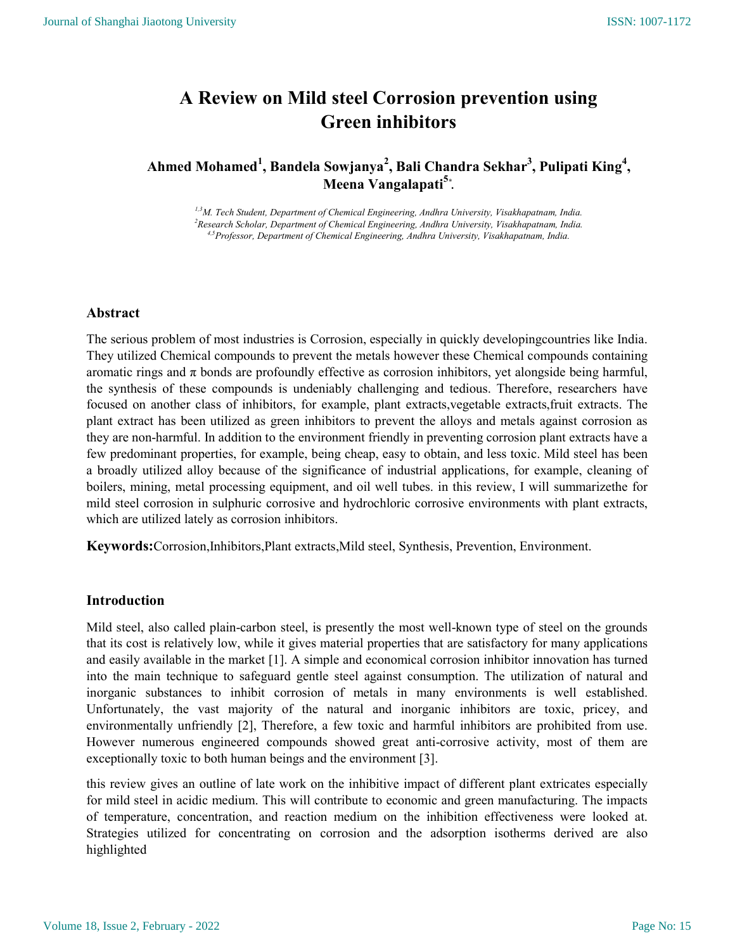# A Review on Mild steel Corrosion prevention using Green inhibitors

## Ahmed Mohamed<sup>1</sup>, Bandela Sowjanya<sup>2</sup>, Bali Chandra Sekhar<sup>3</sup>, Pulipati King<sup>4</sup>, Meena Vangalapati<sup>5</sup>\*.

1,3M. Tech Student, Department of Chemical Engineering, Andhra University, Visakhapatnam, India.  $2$ Research Scholar, Department of Chemical Engineering, Andhra University, Visakhapatnam, India. 4,5Professor, Department of Chemical Engineering, Andhra University, Visakhapatnam, India.

## Abstract

The serious problem of most industries is Corrosion, especially in quickly developingcountries like India. They utilized Chemical compounds to prevent the metals however these Chemical compounds containing aromatic rings and  $\pi$  bonds are profoundly effective as corrosion inhibitors, yet alongside being harmful, the synthesis of these compounds is undeniably challenging and tedious. Therefore, researchers have focused on another class of inhibitors, for example, plant extracts,vegetable extracts,fruit extracts. The plant extract has been utilized as green inhibitors to prevent the alloys and metals against corrosion as they are non-harmful. In addition to the environment friendly in preventing corrosion plant extracts have a few predominant properties, for example, being cheap, easy to obtain, and less toxic. Mild steel has been a broadly utilized alloy because of the significance of industrial applications, for example, cleaning of boilers, mining, metal processing equipment, and oil well tubes. in this review, I will summarizethe for mild steel corrosion in sulphuric corrosive and hydrochloric corrosive environments with plant extracts, which are utilized lately as corrosion inhibitors.

Keywords:Corrosion,Inhibitors,Plant extracts,Mild steel, Synthesis, Prevention, Environment.

## Introduction

Mild steel, also called plain-carbon steel, is presently the most well-known type of steel on the grounds that its cost is relatively low, while it gives material properties that are satisfactory for many applications and easily available in the market [1]. A simple and economical corrosion inhibitor innovation has turned into the main technique to safeguard gentle steel against consumption. The utilization of natural and inorganic substances to inhibit corrosion of metals in many environments is well established. Unfortunately, the vast majority of the natural and inorganic inhibitors are toxic, pricey, and environmentally unfriendly [2], Therefore, a few toxic and harmful inhibitors are prohibited from use. However numerous engineered compounds showed great anti-corrosive activity, most of them are exceptionally toxic to both human beings and the environment [3].

this review gives an outline of late work on the inhibitive impact of different plant extricates especially for mild steel in acidic medium. This will contribute to economic and green manufacturing. The impacts of temperature, concentration, and reaction medium on the inhibition effectiveness were looked at. Strategies utilized for concentrating on corrosion and the adsorption isotherms derived are also highlighted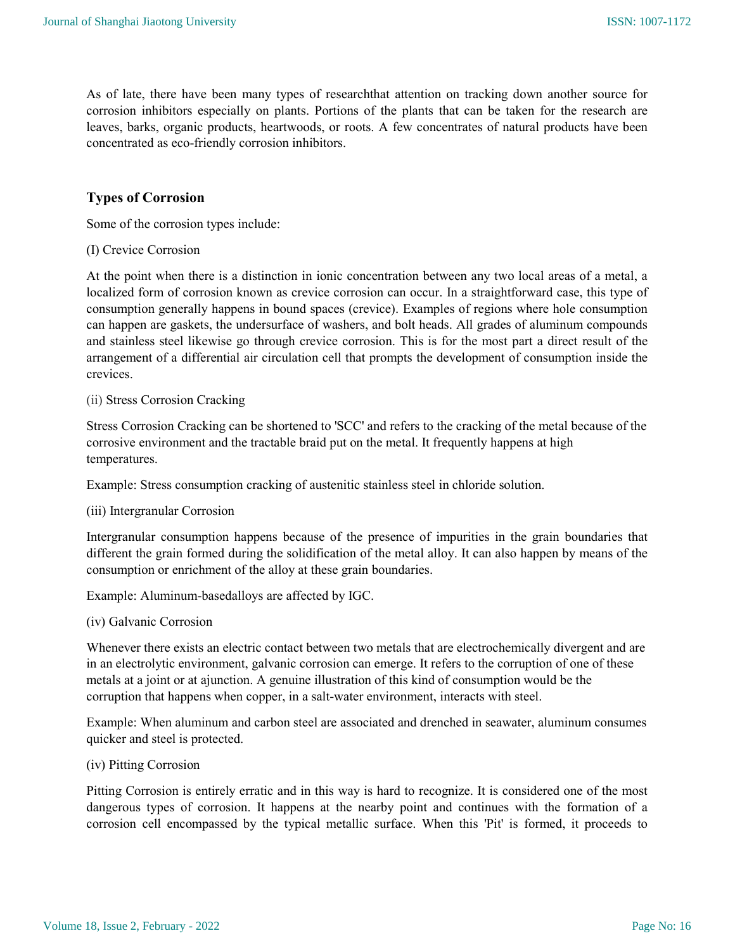As of late, there have been many types of researchthat attention on tracking down another source for corrosion inhibitors especially on plants. Portions of the plants that can be taken for the research are leaves, barks, organic products, heartwoods, or roots. A few concentrates of natural products have been concentrated as eco-friendly corrosion inhibitors.

## Types of Corrosion

Some of the corrosion types include:

(I) Crevice Corrosion

At the point when there is a distinction in ionic concentration between any two local areas of a metal, a localized form of corrosion known as crevice corrosion can occur. In a straightforward case, this type of consumption generally happens in bound spaces (crevice). Examples of regions where hole consumption can happen are gaskets, the undersurface of washers, and bolt heads. All grades of aluminum compounds and stainless steel likewise go through crevice corrosion. This is for the most part a direct result of the arrangement of a differential air circulation cell that prompts the development of consumption inside the crevices.

#### (ii) Stress Corrosion Cracking

Stress Corrosion Cracking can be shortened to 'SCC' and refers to the cracking of the metal because of the corrosive environment and the tractable braid put on the metal. It frequently happens at high temperatures.

Example: Stress consumption cracking of austenitic stainless steel in chloride solution.

#### (iii) Intergranular Corrosion

Intergranular consumption happens because of the presence of impurities in the grain boundaries that different the grain formed during the solidification of the metal alloy. It can also happen by means of the consumption or enrichment of the alloy at these grain boundaries.

Example: Aluminum-basedalloys are affected by IGC.

#### (iv) Galvanic Corrosion

Whenever there exists an electric contact between two metals that are electrochemically divergent and are in an electrolytic environment, galvanic corrosion can emerge. It refers to the corruption of one of these metals at a joint or at ajunction. A genuine illustration of this kind of consumption would be the corruption that happens when copper, in a salt-water environment, interacts with steel.

Example: When aluminum and carbon steel are associated and drenched in seawater, aluminum consumes quicker and steel is protected.

#### (iv) Pitting Corrosion

Pitting Corrosion is entirely erratic and in this way is hard to recognize. It is considered one of the most dangerous types of corrosion. It happens at the nearby point and continues with the formation of a corrosion cell encompassed by the typical metallic surface. When this 'Pit' is formed, it proceeds to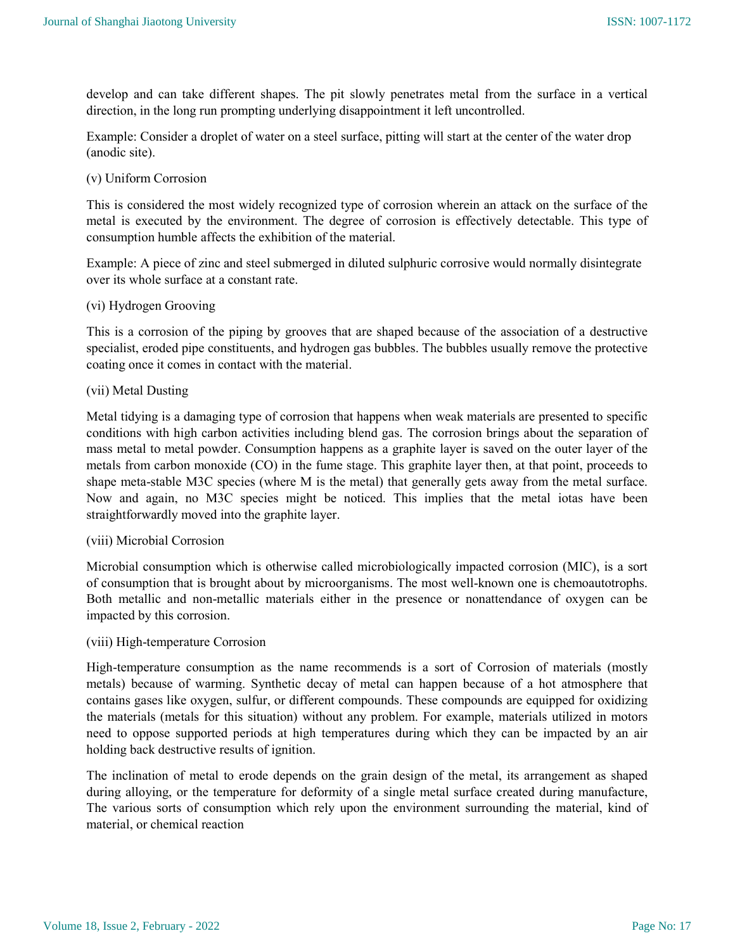develop and can take different shapes. The pit slowly penetrates metal from the surface in a vertical direction, in the long run prompting underlying disappointment it left uncontrolled.

Example: Consider a droplet of water on a steel surface, pitting will start at the center of the water drop (anodic site).

#### (v) Uniform Corrosion

This is considered the most widely recognized type of corrosion wherein an attack on the surface of the metal is executed by the environment. The degree of corrosion is effectively detectable. This type of consumption humble affects the exhibition of the material.

Example: A piece of zinc and steel submerged in diluted sulphuric corrosive would normally disintegrate over its whole surface at a constant rate.

#### (vi) Hydrogen Grooving

This is a corrosion of the piping by grooves that are shaped because of the association of a destructive specialist, eroded pipe constituents, and hydrogen gas bubbles. The bubbles usually remove the protective coating once it comes in contact with the material.

#### (vii) Metal Dusting

Metal tidying is a damaging type of corrosion that happens when weak materials are presented to specific conditions with high carbon activities including blend gas. The corrosion brings about the separation of mass metal to metal powder. Consumption happens as a graphite layer is saved on the outer layer of the metals from carbon monoxide (CO) in the fume stage. This graphite layer then, at that point, proceeds to shape meta-stable M3C species (where M is the metal) that generally gets away from the metal surface. Now and again, no M3C species might be noticed. This implies that the metal iotas have been straightforwardly moved into the graphite layer.

#### (viii) Microbial Corrosion

Microbial consumption which is otherwise called microbiologically impacted corrosion (MIC), is a sort of consumption that is brought about by microorganisms. The most well-known one is chemoautotrophs. Both metallic and non-metallic materials either in the presence or nonattendance of oxygen can be impacted by this corrosion.

#### (viii) High-temperature Corrosion

High-temperature consumption as the name recommends is a sort of Corrosion of materials (mostly metals) because of warming. Synthetic decay of metal can happen because of a hot atmosphere that contains gases like oxygen, sulfur, or different compounds. These compounds are equipped for oxidizing the materials (metals for this situation) without any problem. For example, materials utilized in motors need to oppose supported periods at high temperatures during which they can be impacted by an air holding back destructive results of ignition.

The inclination of metal to erode depends on the grain design of the metal, its arrangement as shaped during alloying, or the temperature for deformity of a single metal surface created during manufacture, The various sorts of consumption which rely upon the environment surrounding the material, kind of material, or chemical reaction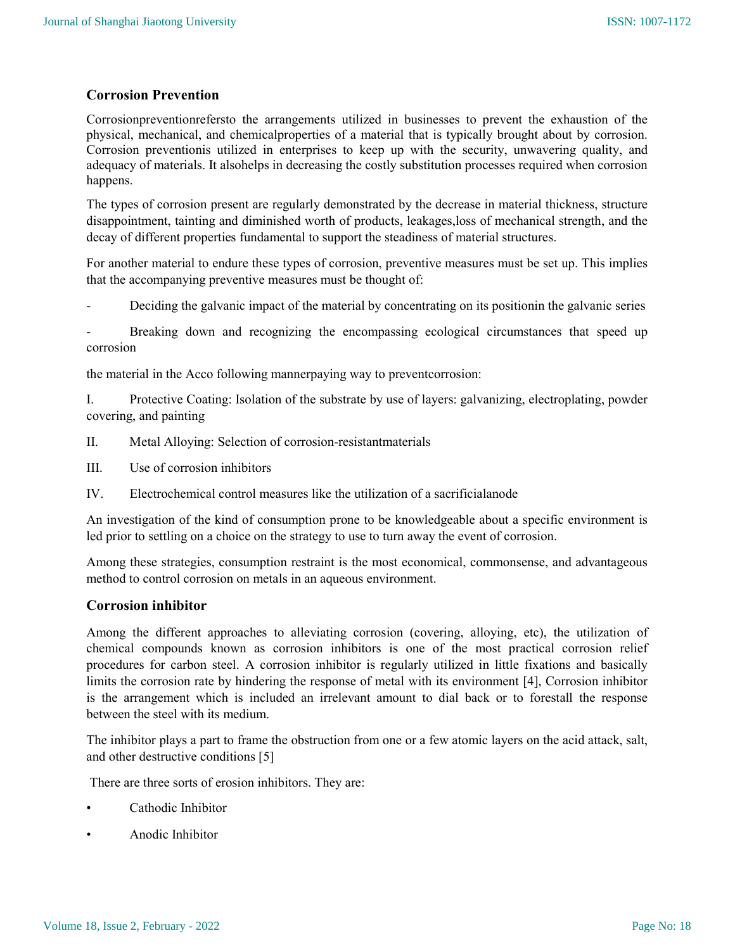## Corrosion Prevention

Corrosionpreventionrefersto the arrangements utilized in businesses to prevent the exhaustion of the physical, mechanical, and chemicalproperties of a material that is typically brought about by corrosion. Corrosion preventionis utilized in enterprises to keep up with the security, unwavering quality, and adequacy of materials. It alsohelps in decreasing the costly substitution processes required when corrosion happens.

The types of corrosion present are regularly demonstrated by the decrease in material thickness, structure disappointment, tainting and diminished worth of products, leakages,loss of mechanical strength, and the decay of different properties fundamental to support the steadiness of material structures.

For another material to endure these types of corrosion, preventive measures must be set up. This implies that the accompanying preventive measures must be thought of:

Deciding the galvanic impact of the material by concentrating on its positionin the galvanic series

Breaking down and recognizing the encompassing ecological circumstances that speed up corrosion

the material in the Acco following mannerpaying way to preventcorrosion:

I. Protective Coating: Isolation of the substrate by use of layers: galvanizing, electroplating, powder covering, and painting

- II. Metal Alloying: Selection of corrosion-resistantmaterials
- III. Use of corrosion inhibitors
- IV. Electrochemical control measures like the utilization of a sacrificialanode

An investigation of the kind of consumption prone to be knowledgeable about a specific environment is led prior to settling on a choice on the strategy to use to turn away the event of corrosion.

Among these strategies, consumption restraint is the most economical, commonsense, and advantageous method to control corrosion on metals in an aqueous environment.

## Corrosion inhibitor

Among the different approaches to alleviating corrosion (covering, alloying, etc), the utilization of chemical compounds known as corrosion inhibitors is one of the most practical corrosion relief procedures for carbon steel. A corrosion inhibitor is regularly utilized in little fixations and basically limits the corrosion rate by hindering the response of metal with its environment [4], Corrosion inhibitor is the arrangement which is included an irrelevant amount to dial back or to forestall the response between the steel with its medium.

The inhibitor plays a part to frame the obstruction from one or a few atomic layers on the acid attack, salt, and other destructive conditions [5]

There are three sorts of erosion inhibitors. They are:

- Cathodic Inhibitor
- Anodic Inhibitor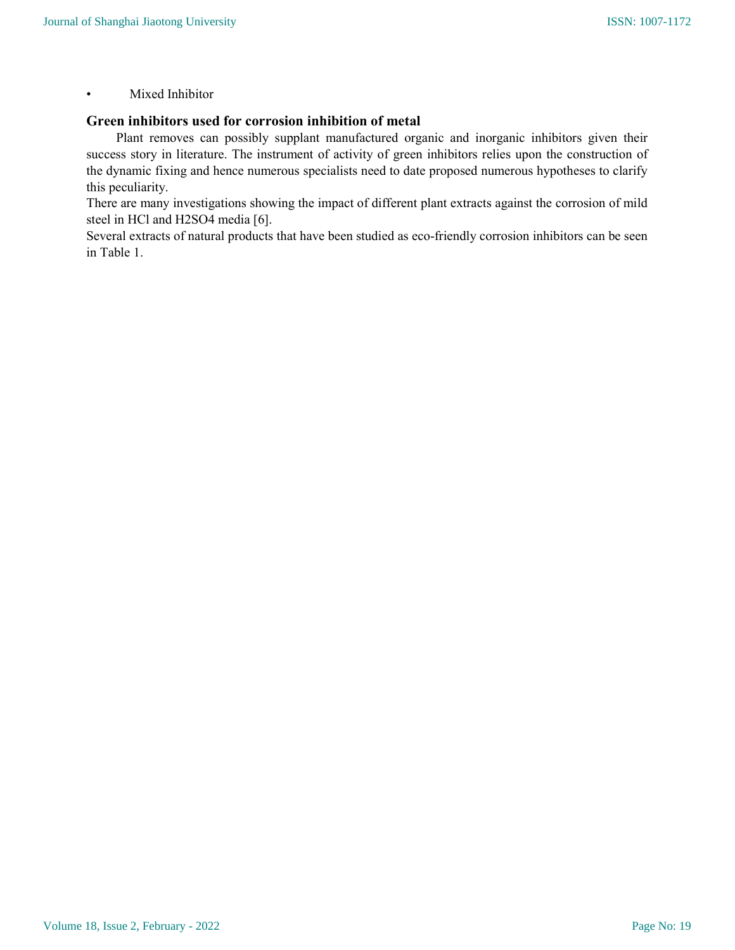## • Mixed Inhibitor

## Green inhibitors used for corrosion inhibition of metal

 Plant removes can possibly supplant manufactured organic and inorganic inhibitors given their success story in literature. The instrument of activity of green inhibitors relies upon the construction of the dynamic fixing and hence numerous specialists need to date proposed numerous hypotheses to clarify this peculiarity.

There are many investigations showing the impact of different plant extracts against the corrosion of mild steel in HCl and H2SO4 media [6].

Several extracts of natural products that have been studied as eco-friendly corrosion inhibitors can be seen in Table 1.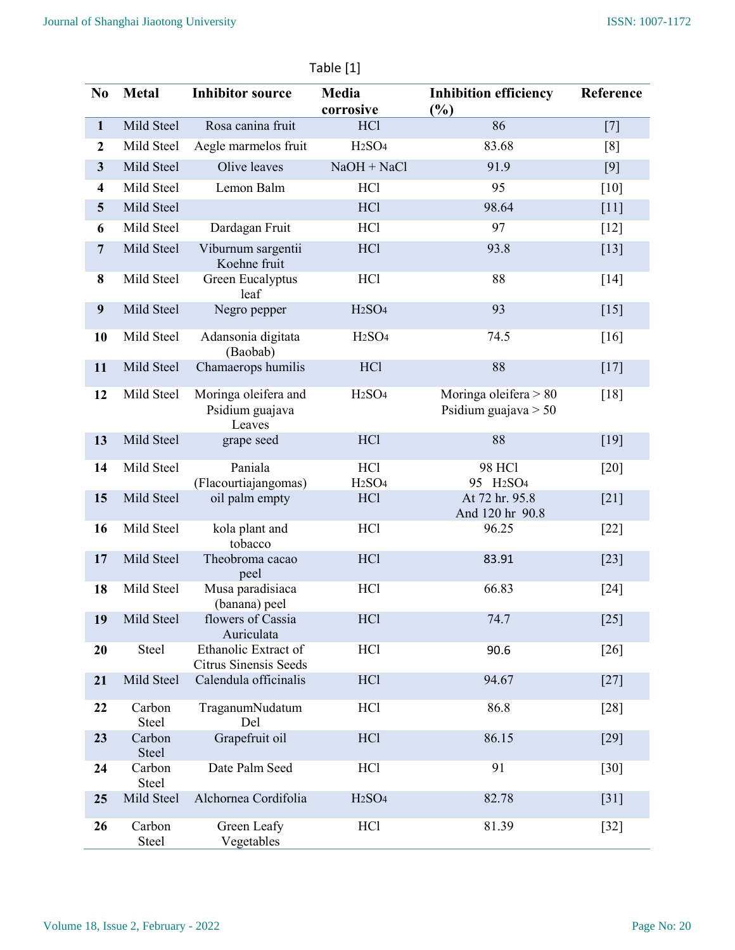|                         | 99. J. J               |                                                      |                                              |                                                    |           |  |  |
|-------------------------|------------------------|------------------------------------------------------|----------------------------------------------|----------------------------------------------------|-----------|--|--|
| N <sub>0</sub>          | <b>Metal</b>           | <b>Inhibitor source</b>                              | Media<br>corrosive                           | <b>Inhibition efficiency</b><br>$(\%)$             | Reference |  |  |
| $\mathbf{1}$            | Mild Steel             | Rosa canina fruit                                    | HCl                                          | 86                                                 | $[7]$     |  |  |
| $\boldsymbol{2}$        | Mild Steel             | Aegle marmelos fruit                                 | H <sub>2</sub> SO <sub>4</sub>               | 83.68                                              | [8]       |  |  |
| $\mathbf{3}$            | Mild Steel             | Olive leaves                                         | $NaOH + NaCl$                                | 91.9                                               | [9]       |  |  |
| $\overline{\mathbf{4}}$ | Mild Steel             | Lemon Balm                                           | <b>HCl</b>                                   | 95                                                 | $[10]$    |  |  |
| 5                       | Mild Steel             |                                                      | HCl                                          | 98.64                                              | $[11]$    |  |  |
| 6                       | Mild Steel             | Dardagan Fruit                                       | <b>HCl</b>                                   | 97                                                 | $[12]$    |  |  |
| $\overline{7}$          | Mild Steel             | Viburnum sargentii<br>Koehne fruit                   | HCl                                          | 93.8                                               | $[13]$    |  |  |
| 8                       | Mild Steel             | Green Eucalyptus<br>leaf                             | <b>HCl</b>                                   | 88                                                 | $[14]$    |  |  |
| $\boldsymbol{9}$        | Mild Steel             | Negro pepper                                         | H <sub>2</sub> SO <sub>4</sub>               | 93                                                 | $[15]$    |  |  |
| 10                      | Mild Steel             | Adansonia digitata<br>(Baobab)                       | H <sub>2</sub> SO <sub>4</sub>               | 74.5                                               | $[16]$    |  |  |
| 11                      | Mild Steel             | Chamaerops humilis                                   | HC <sub>1</sub>                              | 88                                                 | $[17]$    |  |  |
| 12                      | Mild Steel             | Moringa oleifera and<br>Psidium guajava<br>Leaves    | H <sub>2</sub> SO <sub>4</sub>               | Moringa oleifera $> 80$<br>Psidium guajava $> 50$  | $[18]$    |  |  |
| 13                      | Mild Steel             | grape seed                                           | <b>HCl</b>                                   | 88                                                 | $[19]$    |  |  |
| 14                      | Mild Steel             | Paniala<br>(Flacourtiajangomas)                      | <b>HCl</b><br>H <sub>2</sub> SO <sub>4</sub> | <b>98 HCl</b><br>95 H <sub>2</sub> SO <sub>4</sub> | $[20]$    |  |  |
| 15                      | Mild Steel             | oil palm empty                                       | HCl                                          | At 72 hr. 95.8<br>And 120 hr 90.8                  | $[21]$    |  |  |
| 16                      | Mild Steel             | kola plant and<br>tobacco                            | <b>HCl</b>                                   | 96.25                                              | $[22]$    |  |  |
| 17                      | Mild Steel             | Theobroma cacao<br>peel                              | <b>HCl</b>                                   | 83.91                                              | $[23]$    |  |  |
| 18                      | Mild Steel             | Musa paradisiaca<br>(banana) peel                    | <b>HCl</b>                                   | 66.83                                              | $[24]$    |  |  |
| 19                      | Mild Steel             | flowers of Cassia<br>Auriculata                      | HCl                                          | 74.7                                               | $[25]$    |  |  |
| 20                      | Steel                  | Ethanolic Extract of<br><b>Citrus Sinensis Seeds</b> | <b>HCl</b>                                   | 90.6                                               | $[26]$    |  |  |
| 21                      | Mild Steel             | Calendula officinalis                                | HCl                                          | 94.67                                              | $[27]$    |  |  |
| 22                      | Carbon<br><b>Steel</b> | TraganumNudatum<br>Del                               | HCl                                          | 86.8                                               | $[28]$    |  |  |
| 23                      | Carbon<br>Steel        | Grapefruit oil                                       | HCl                                          | 86.15                                              | $[29]$    |  |  |
| 24                      | Carbon<br>Steel        | Date Palm Seed                                       | <b>HCl</b>                                   | 91                                                 | $[30]$    |  |  |
| 25                      | Mild Steel             | Alchornea Cordifolia                                 | H <sub>2</sub> SO <sub>4</sub>               | 82.78                                              | $[31]$    |  |  |
| 26                      | Carbon<br>Steel        | Green Leafy<br>Vegetables                            | <b>HCl</b>                                   | 81.39                                              | $[32]$    |  |  |

## Table [1]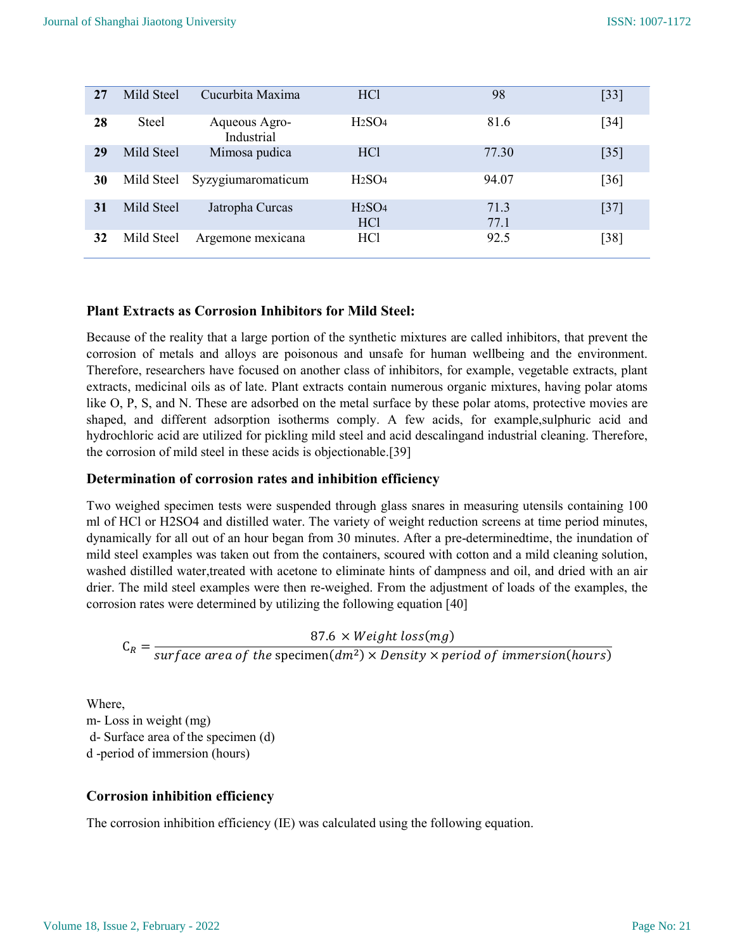| 27 | Mild Steel | Cucurbita Maxima            | HC <sub>1</sub>                                   | 98           | $[33]$            |
|----|------------|-----------------------------|---------------------------------------------------|--------------|-------------------|
| 28 | Steel      | Aqueous Agro-<br>Industrial | H <sub>2</sub> SO <sub>4</sub>                    | 81.6         | [34]              |
| 29 | Mild Steel | Mimosa pudica               | HC <sub>1</sub>                                   | 77.30        | $\left[35\right]$ |
| 30 | Mild Steel | Syzygiumaromaticum          | H <sub>2</sub> SO <sub>4</sub>                    | 94.07        | [36]              |
| 31 | Mild Steel | Jatropha Curcas             | H <sub>2</sub> SO <sub>4</sub><br>HC <sub>1</sub> | 71.3<br>77.1 | $[37]$            |
| 32 | Mild Steel | Argemone mexicana           | HC <sub>1</sub>                                   | 92.5         | [38]              |

## Plant Extracts as Corrosion Inhibitors for Mild Steel:

Because of the reality that a large portion of the synthetic mixtures are called inhibitors, that prevent the corrosion of metals and alloys are poisonous and unsafe for human wellbeing and the environment. Therefore, researchers have focused on another class of inhibitors, for example, vegetable extracts, plant extracts, medicinal oils as of late. Plant extracts contain numerous organic mixtures, having polar atoms like O, P, S, and N. These are adsorbed on the metal surface by these polar atoms, protective movies are shaped, and different adsorption isotherms comply. A few acids, for example,sulphuric acid and hydrochloric acid are utilized for pickling mild steel and acid descalingand industrial cleaning. Therefore, the corrosion of mild steel in these acids is objectionable.[39]

#### Determination of corrosion rates and inhibition efficiency

Two weighed specimen tests were suspended through glass snares in measuring utensils containing 100 ml of HCl or H2SO4 and distilled water. The variety of weight reduction screens at time period minutes, dynamically for all out of an hour began from 30 minutes. After a pre-determinedtime, the inundation of mild steel examples was taken out from the containers, scoured with cotton and a mild cleaning solution, washed distilled water,treated with acetone to eliminate hints of dampness and oil, and dried with an air drier. The mild steel examples were then re-weighed. From the adjustment of loads of the examples, the corrosion rates were determined by utilizing the following equation [40]

 $C_R =$  $87.6 \times Weight \ loss(mg)$ surface area of the specimen $(dm^2) \times Density \times period$  of immersion(hours)

Where, m- Loss in weight (mg) d- Surface area of the specimen (d) d -period of immersion (hours)

## Corrosion inhibition efficiency

The corrosion inhibition efficiency (IE) was calculated using the following equation.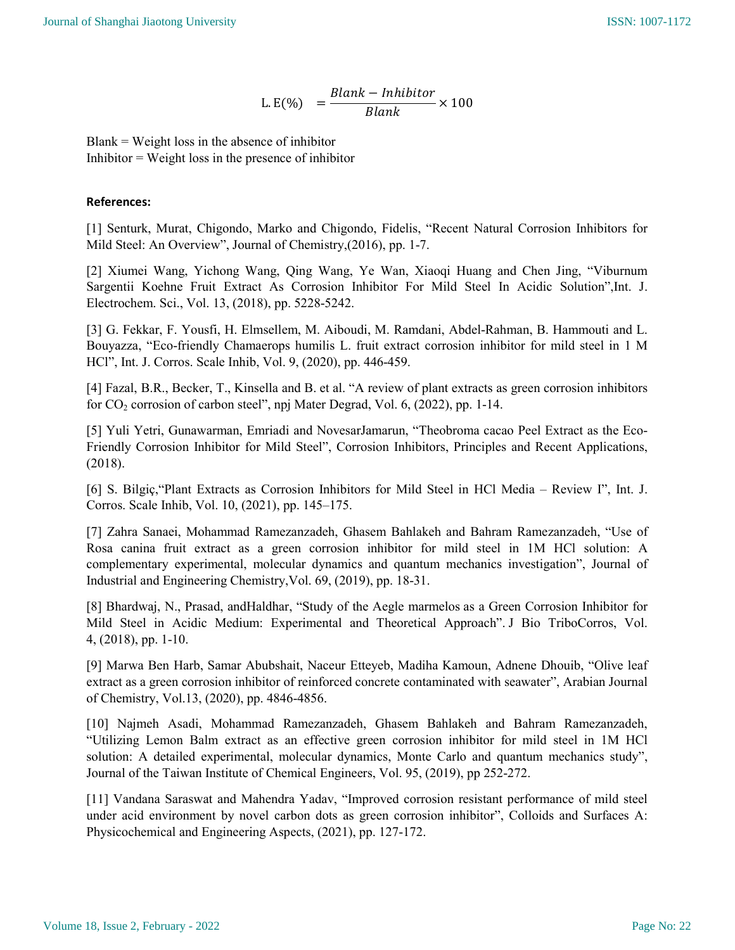L.E(%) = 
$$
\frac{Blank - Inhibitor}{Blank} \times 100
$$

 $Blank = Weight loss$  in the absence of inhibitor  $Inhibitor = Weight loss in the presence of inhibitor$ 

## References:

[1] Senturk, Murat, Chigondo, Marko and Chigondo, Fidelis, "Recent Natural Corrosion Inhibitors for Mild Steel: An Overview", Journal of Chemistry,(2016), pp. 1-7.

[2] Xiumei Wang, Yichong Wang, Qing Wang, Ye Wan, Xiaoqi Huang and Chen Jing, "Viburnum Sargentii Koehne Fruit Extract As Corrosion Inhibitor For Mild Steel In Acidic Solution",Int. J. Electrochem. Sci., Vol. 13, (2018), pp. 5228-5242.

[3] G. Fekkar, F. Yousfi, H. Elmsellem, M. Aiboudi, M. Ramdani, Abdеl-Rahman, B. Hammouti and L. Bouyazza, "Eco-friendly Chamaerops humilis L. fruit extract corrosion inhibitor for mild steel in 1 M HCl", Int. J. Corros. Scale Inhib, Vol. 9, (2020), pp. 446-459.

[4] Fazal, B.R., Becker, T., Kinsella and B. et al. "A review of plant extracts as green corrosion inhibitors for  $CO_2$  corrosion of carbon steel", npj Mater Degrad, Vol. 6, (2022), pp. 1-14.

[5] Yuli Yetri, Gunawarman, Emriadi and NovesarJamarun, "Theobroma cacao Peel Extract as the Eco-Friendly Corrosion Inhibitor for Mild Steel", Corrosion Inhibitors, Principles and Recent Applications, (2018).

[6] S. Bilgiç,"Plant Extracts as Corrosion Inhibitors for Mild Steel in HCl Media – Review I", Int. J. Corros. Scale Inhib, Vol. 10, (2021), pp. 145–175.

[7] Zahra Sanaei, Mohammad Ramezanzadeh, Ghasem Bahlakeh and Bahram Ramezanzadeh, "Use of Rosa canina fruit extract as a green corrosion inhibitor for mild steel in 1M HCl solution: A complementary experimental, molecular dynamics and quantum mechanics investigation", Journal of Industrial and Engineering Chemistry,Vol. 69, (2019), pp. 18-31.

[8] Bhardwaj, N., Prasad, andHaldhar, "Study of the Aegle marmelos as a Green Corrosion Inhibitor for Mild Steel in Acidic Medium: Experimental and Theoretical Approach". J Bio TriboCorros, Vol. 4, (2018), pp. 1-10.

[9] Marwa Ben Harb, Samar Abubshait, Naceur Etteyeb, Madiha Kamoun, Adnene Dhouib, "Olive leaf extract as a green corrosion inhibitor of reinforced concrete contaminated with seawater", Arabian Journal of Chemistry, Vol.13, (2020), pp. 4846-4856.

[10] Najmeh Asadi, Mohammad Ramezanzadeh, Ghasem Bahlakeh and Bahram Ramezanzadeh, "Utilizing Lemon Balm extract as an effective green corrosion inhibitor for mild steel in 1M HCl solution: A detailed experimental, molecular dynamics, Monte Carlo and quantum mechanics study", Journal of the Taiwan Institute of Chemical Engineers, Vol. 95, (2019), pp 252-272.

[11] Vandana Saraswat and Mahendra Yadav, "Improved corrosion resistant performance of mild steel under acid environment by novel carbon dots as green corrosion inhibitor", Colloids and Surfaces A: Physicochemical and Engineering Aspects, (2021), pp. 127-172.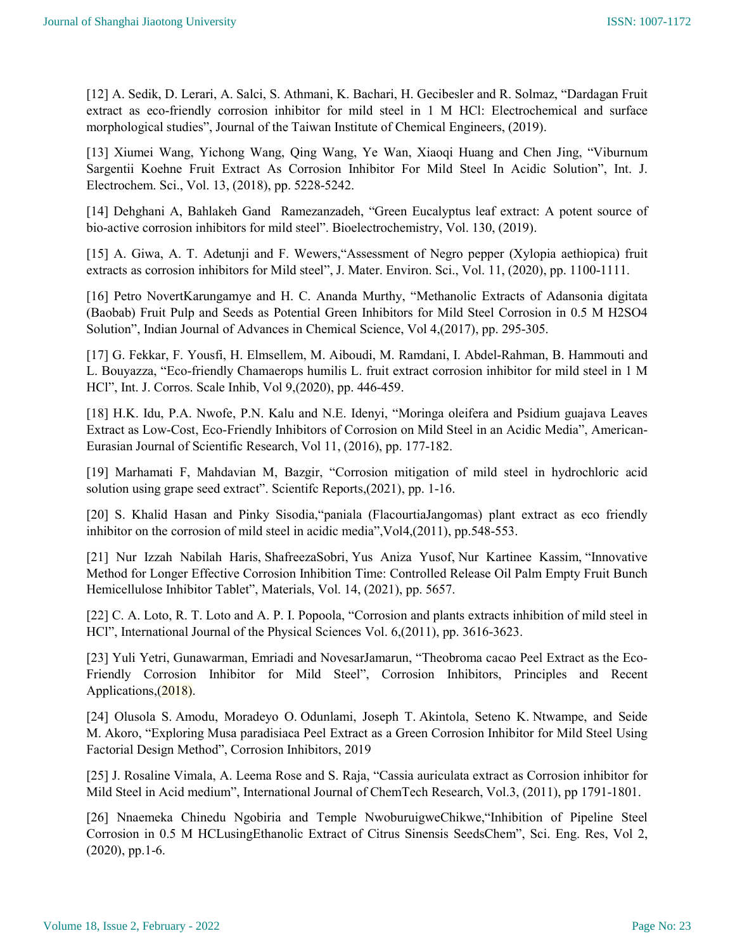[12] A. Sedik, D. Lerari, A. Salci, S. Athmani, K. Bachari, H. Gecibesler and R. Solmaz, "Dardagan Fruit extract as eco-friendly corrosion inhibitor for mild steel in 1 M HCl: Electrochemical and surface morphological studies", Journal of the Taiwan Institute of Chemical Engineers, (2019).

[13] Xiumei Wang, Yichong Wang, Qing Wang, Ye Wan, Xiaoqi Huang and Chen Jing, "Viburnum Sargentii Koehne Fruit Extract As Corrosion Inhibitor For Mild Steel In Acidic Solution", Int. J. Electrochem. Sci., Vol. 13, (2018), pp. 5228-5242.

[14] Dehghani A, Bahlakeh Gand Ramezanzadeh, "Green Eucalyptus leaf extract: A potent source of bio-active corrosion inhibitors for mild steel". Bioelectrochemistry, Vol. 130, (2019).

[15] A. Giwa, A. T. Adetunji and F. Wewers,"Assessment of Negro pepper (Xylopia aethiopica) fruit extracts as corrosion inhibitors for Mild steel", J. Mater. Environ. Sci., Vol. 11, (2020), pp. 1100-1111.

[16] Petro NovertKarungamye and H. C. Ananda Murthy, "Methanolic Extracts of Adansonia digitata (Baobab) Fruit Pulp and Seeds as Potential Green Inhibitors for Mild Steel Corrosion in 0.5 M H2SO4 Solution", Indian Journal of Advances in Chemical Science, Vol 4,(2017), pp. 295-305.

[17] G. Fekkar, F. Yousfi, H. Elmsellem, M. Aiboudi, M. Ramdani, І. Abdеl-Rahman, B. Hammouti and L. Bouyazza, "Eco-friendly Chamaerops humilis L. fruit extract corrosion inhibitor for mild steel in 1 M HCl", Int. J. Corros. Scale Inhib, Vol 9,(2020), pp. 446-459.

[18] H.K. Idu, P.A. Nwofe, P.N. Kalu and N.E. Idenyi, "Moringa oleifera and Psidium guajava Leaves Extract as Low-Cost, Eco-Friendly Inhibitors of Corrosion on Mild Steel in an Acidic Media", American-Eurasian Journal of Scientific Research, Vol 11, (2016), pp. 177-182.

[19] Marhamati F, Mahdavian M, Bazgir, "Corrosion mitigation of mild steel in hydrochloric acid solution using grape seed extract". Scientifc Reports,(2021), pp. 1-16.

[20] S. Khalid Hasan and Pinky Sisodia,"paniala (FlacourtiaJangomas) plant extract as eco friendly inhibitor on the corrosion of mild steel in acidic media",Vol4,(2011), pp.548-553.

[21] Nur Izzah Nabilah Haris, ShafreezaSobri, Yus Aniza Yusof, Nur Kartinee Kassim, "Innovative Method for Longer Effective Corrosion Inhibition Time: Controlled Release Oil Palm Empty Fruit Bunch Hemicellulose Inhibitor Tablet", Materials, Vol. 14, (2021), pp. 5657.

[22] C. A. Loto, R. T. Loto and A. P. I. Popoola, "Corrosion and plants extracts inhibition of mild steel in HCl", International Journal of the Physical Sciences Vol. 6,(2011), pp. 3616-3623.

[23] Yuli Yetri, Gunawarman, Emriadi and NovesarJamarun, "Theobroma cacao Peel Extract as the Eco-Friendly Corrosion Inhibitor for Mild Steel", Corrosion Inhibitors, Principles and Recent Applications,(2018).

[24] Olusola S. Amodu, Moradeyo O. Odunlami, Joseph T. Akintola, Seteno K. Ntwampe, and Seide M. Akoro, "Exploring Musa paradisiaca Peel Extract as a Green Corrosion Inhibitor for Mild Steel Using Factorial Design Method", Corrosion Inhibitors, 2019

[25] J. Rosaline Vimala, A. Leema Rose and S. Raja, "Cassia auriculata extract as Corrosion inhibitor for Mild Steel in Acid medium", International Journal of ChemTech Research, Vol.3, (2011), pp 1791-1801.

[26] Nnaemeka Chinedu Ngobiria and Temple NwoburuigweChikwe,"Inhibition of Pipeline Steel Corrosion in 0.5 M HCLusingEthanolic Extract of Citrus Sinensis SeedsChem", Sci. Eng. Res, Vol 2, (2020), pp.1-6.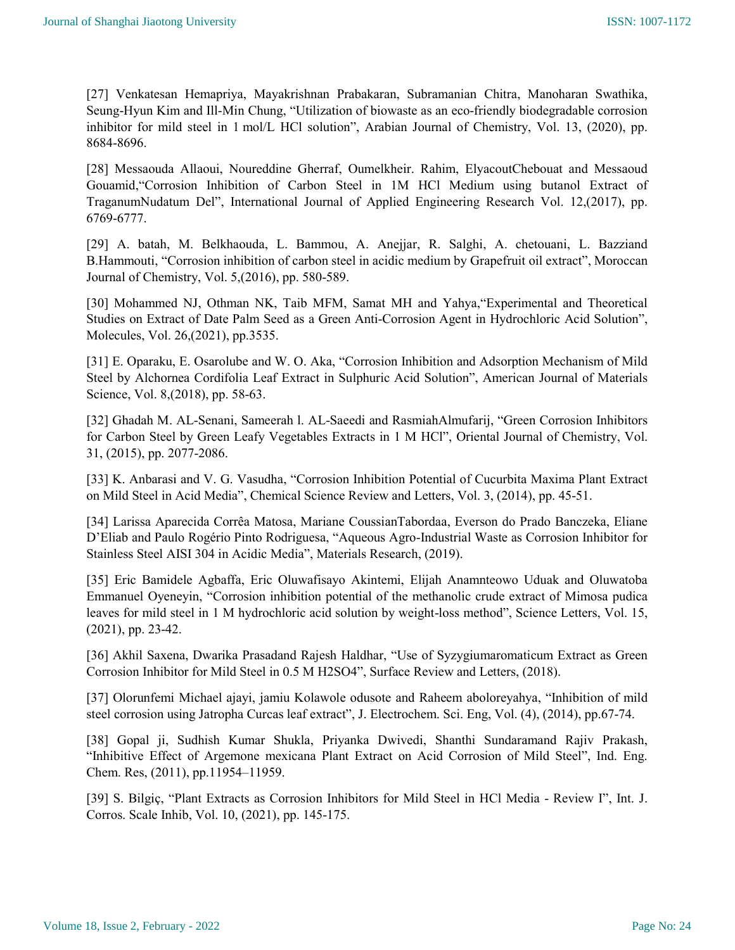[27] Venkatesan Hemapriya, Mayakrishnan Prabakaran, Subramanian Chitra, Manoharan Swathika, Seung-Hyun Kim and Ill-Min Chung, "Utilization of biowaste as an eco-friendly biodegradable corrosion inhibitor for mild steel in 1 mol/L HCl solution", Arabian Journal of Chemistry, Vol. 13, (2020), pp. 8684-8696.

[28] Messaouda Allaoui, Noureddine Gherraf, Oumelkheir. Rahim, ElyacoutChebouat and Messaoud Gouamid,"Corrosion Inhibition of Carbon Steel in 1M HCl Medium using butanol Extract of TraganumNudatum Del", International Journal of Applied Engineering Research Vol. 12,(2017), pp. 6769-6777.

[29] A. batah, M. Belkhaouda, L. Bammou, A. Anejjar, R. Salghi, A. chetouani, L. Bazziand B.Hammouti, "Corrosion inhibition of carbon steel in acidic medium by Grapefruit oil extract", Moroccan Journal of Chemistry, Vol. 5,(2016), pp. 580-589.

[30] Mohammed NJ, Othman NK, Taib MFM, Samat MH and Yahya,"Experimental and Theoretical Studies on Extract of Date Palm Seed as a Green Anti-Corrosion Agent in Hydrochloric Acid Solution", Molecules, Vol. 26,(2021), pp.3535.

[31] E. Oparaku, E. Osarolube and W. O. Aka, "Corrosion Inhibition and Adsorption Mechanism of Mild Steel by Alchornea Cordifolia Leaf Extract in Sulphuric Acid Solution", American Journal of Materials Science, Vol. 8,(2018), pp. 58-63.

[32] Ghadah M. AL-Senani, Sameerah l. AL-Saeedi and RasmiahAlmufarij, "Green Corrosion Inhibitors for Carbon Steel by Green Leafy Vegetables Extracts in 1 M HCl", Oriental Journal of Chemistry, Vol. 31, (2015), pp. 2077-2086.

[33] K. Anbarasi and V. G. Vasudha, "Corrosion Inhibition Potential of Cucurbita Maxima Plant Extract on Mild Steel in Acid Media", Chemical Science Review and Letters, Vol. 3, (2014), pp. 45-51.

[34] Larissa Aparecida Corrêa Matosa, Mariane CoussianTabordaa, Everson do Prado Banczeka, Eliane D'Eliab and Paulo Rogério Pinto Rodriguesa, "Aqueous Agro-Industrial Waste as Corrosion Inhibitor for Stainless Steel AISI 304 in Acidic Media", Materials Research, (2019).

[35] Eric Bamidele Agbaffa, Eric Oluwafisayo Akintemi, Elijah Anamnteowo Uduak and Oluwatoba Emmanuel Oyeneyin, "Corrosion inhibition potential of the methanolic crude extract of Mimosa pudica leaves for mild steel in 1 M hydrochloric acid solution by weight-loss method", Science Letters, Vol. 15, (2021), pp. 23-42.

[36] Akhil Saxena, Dwarika Prasadand Rajesh Haldhar, "Use of Syzygiumaromaticum Extract as Green Corrosion Inhibitor for Mild Steel in 0.5 M H2SO4", Surface Review and Letters, (2018).

[37] Olorunfemi Michael ajayi, jamiu Kolawole odusote and Raheem aboloreyahya, "Inhibition of mild steel corrosion using Jatropha Curcas leaf extract", J. Electrochem. Sci. Eng, Vol. (4), (2014), pp.67-74.

[38] Gopal ji, Sudhish Kumar Shukla, Priyanka Dwivedi, Shanthi Sundaramand Rajiv Prakash, "Inhibitive Effect of Argemone mexicana Plant Extract on Acid Corrosion of Mild Steel", Ind. Eng. Chem. Res, (2011), pp.11954–11959.

[39] S. Bilgiç, "Plant Extracts as Corrosion Inhibitors for Mild Steel in HCl Media - Review I", Int. J. Corros. Scale Inhib, Vol. 10, (2021), pp. 145-175.